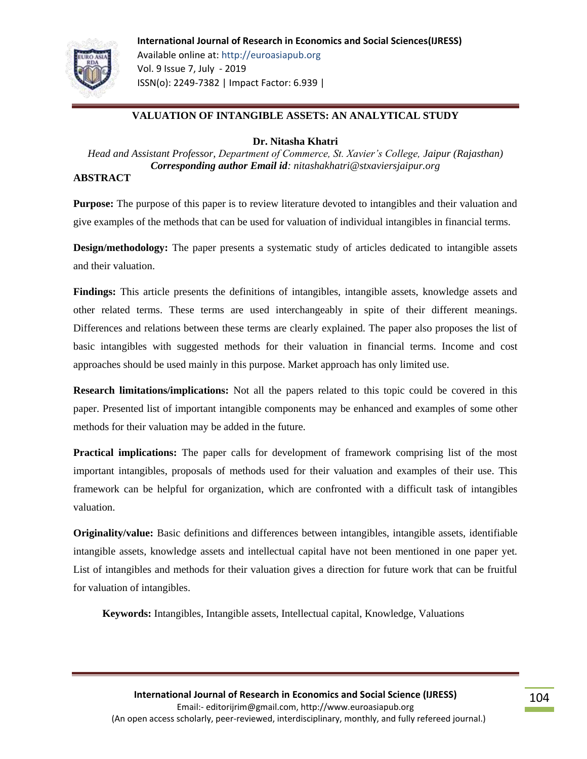



Available online at: http://euroasiapub.org Vol. 9 Issue 7, July - 2019 ISSN(o): 2249-7382 | Impact Factor: 6.939 |

## **VALUATION OF INTANGIBLE ASSETS: AN ANALYTICAL STUDY**

#### **Dr. Nitasha Khatri**

*Head and Assistant Professor, Department of Commerce, St. Xavier's College, Jaipur (Rajasthan) Corresponding author Email id: nitashakhatri@stxaviersjaipur.org*

#### **ABSTRACT**

**Purpose:** The purpose of this paper is to review literature devoted to intangibles and their valuation and give examples of the methods that can be used for valuation of individual intangibles in financial terms.

**Design/methodology:** The paper presents a systematic study of articles dedicated to intangible assets and their valuation.

**Findings:** This article presents the definitions of intangibles, intangible assets, knowledge assets and other related terms. These terms are used interchangeably in spite of their different meanings. Differences and relations between these terms are clearly explained. The paper also proposes the list of basic intangibles with suggested methods for their valuation in financial terms. Income and cost approaches should be used mainly in this purpose. Market approach has only limited use.

**Research limitations/implications:** Not all the papers related to this topic could be covered in this paper. Presented list of important intangible components may be enhanced and examples of some other methods for their valuation may be added in the future.

**Practical implications:** The paper calls for development of framework comprising list of the most important intangibles, proposals of methods used for their valuation and examples of their use. This framework can be helpful for organization, which are confronted with a difficult task of intangibles valuation.

**Originality/value:** Basic definitions and differences between intangibles, intangible assets, identifiable intangible assets, knowledge assets and intellectual capital have not been mentioned in one paper yet. List of intangibles and methods for their valuation gives a direction for future work that can be fruitful for valuation of intangibles.

 **Keywords:** Intangibles, Intangible assets, Intellectual capital, Knowledge, Valuations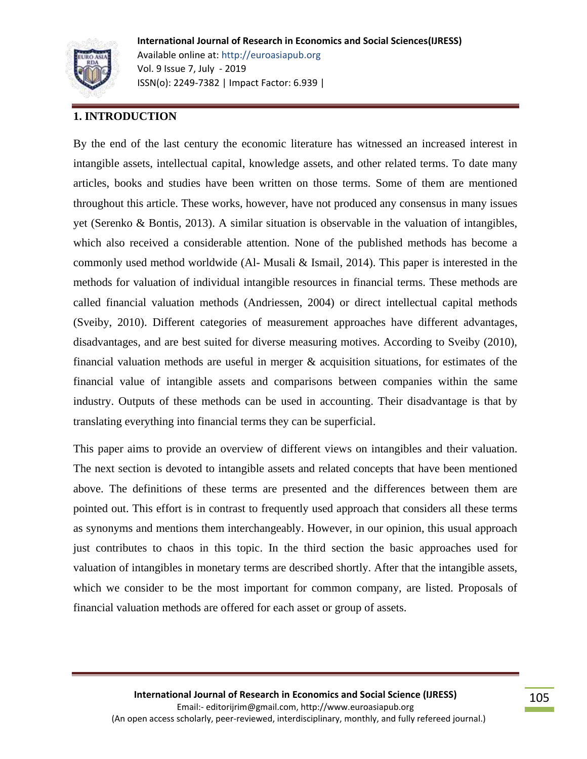#### **International Journal of Research in Economics and Social Sciences(IJRESS)**



Available online at: http://euroasiapub.org Vol. 9 Issue 7, July - 2019 ISSN(o): 2249-7382 | Impact Factor: 6.939 |

#### **1. INTRODUCTION**

By the end of the last century the economic literature has witnessed an increased interest in intangible assets, intellectual capital, knowledge assets, and other related terms. To date many articles, books and studies have been written on those terms. Some of them are mentioned throughout this article. These works, however, have not produced any consensus in many issues yet (Serenko & Bontis, 2013). A similar situation is observable in the valuation of intangibles, which also received a considerable attention. None of the published methods has become a commonly used method worldwide (Al- Musali  $\&$  Ismail, 2014). This paper is interested in the methods for valuation of individual intangible resources in financial terms. These methods are called financial valuation methods (Andriessen, 2004) or direct intellectual capital methods (Sveiby, 2010). Different categories of measurement approaches have different advantages, disadvantages, and are best suited for diverse measuring motives. According to Sveiby (2010), financial valuation methods are useful in merger  $\&$  acquisition situations, for estimates of the financial value of intangible assets and comparisons between companies within the same industry. Outputs of these methods can be used in accounting. Their disadvantage is that by translating everything into financial terms they can be superficial.

This paper aims to provide an overview of different views on intangibles and their valuation. The next section is devoted to intangible assets and related concepts that have been mentioned above. The definitions of these terms are presented and the differences between them are pointed out. This effort is in contrast to frequently used approach that considers all these terms as synonyms and mentions them interchangeably. However, in our opinion, this usual approach just contributes to chaos in this topic. In the third section the basic approaches used for valuation of intangibles in monetary terms are described shortly. After that the intangible assets, which we consider to be the most important for common company, are listed. Proposals of financial valuation methods are offered for each asset or group of assets.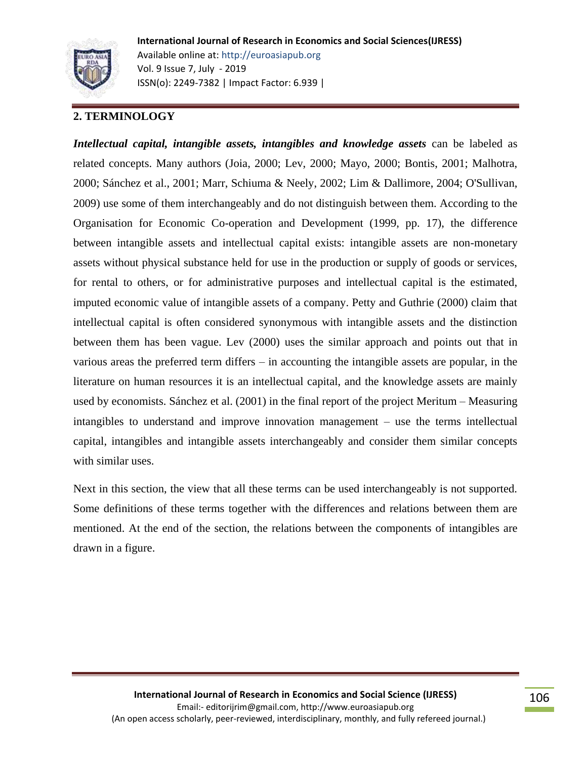#### **International Journal of Research in Economics and Social Sciences(IJRESS)**



Available online at: http://euroasiapub.org Vol. 9 Issue 7, July - 2019 ISSN(o): 2249-7382 | Impact Factor: 6.939 |

## **2. TERMINOLOGY**

*Intellectual capital, intangible assets, intangibles and knowledge assets* can be labeled as related concepts. Many authors (Joia, 2000; Lev, 2000; Mayo, 2000; Bontis, 2001; Malhotra, 2000; Sánchez et al., 2001; Marr, Schiuma & Neely, 2002; Lim & Dallimore, 2004; O'Sullivan, 2009) use some of them interchangeably and do not distinguish between them. According to the Organisation for Economic Co-operation and Development (1999, pp. 17), the difference between intangible assets and intellectual capital exists: intangible assets are non-monetary assets without physical substance held for use in the production or supply of goods or services, for rental to others, or for administrative purposes and intellectual capital is the estimated, imputed economic value of intangible assets of a company. Petty and Guthrie (2000) claim that intellectual capital is often considered synonymous with intangible assets and the distinction between them has been vague. Lev (2000) uses the similar approach and points out that in various areas the preferred term differs – in accounting the intangible assets are popular, in the literature on human resources it is an intellectual capital, and the knowledge assets are mainly used by economists. Sánchez et al. (2001) in the final report of the project Meritum – Measuring intangibles to understand and improve innovation management – use the terms intellectual capital, intangibles and intangible assets interchangeably and consider them similar concepts with similar uses.

Next in this section, the view that all these terms can be used interchangeably is not supported. Some definitions of these terms together with the differences and relations between them are mentioned. At the end of the section, the relations between the components of intangibles are drawn in a figure.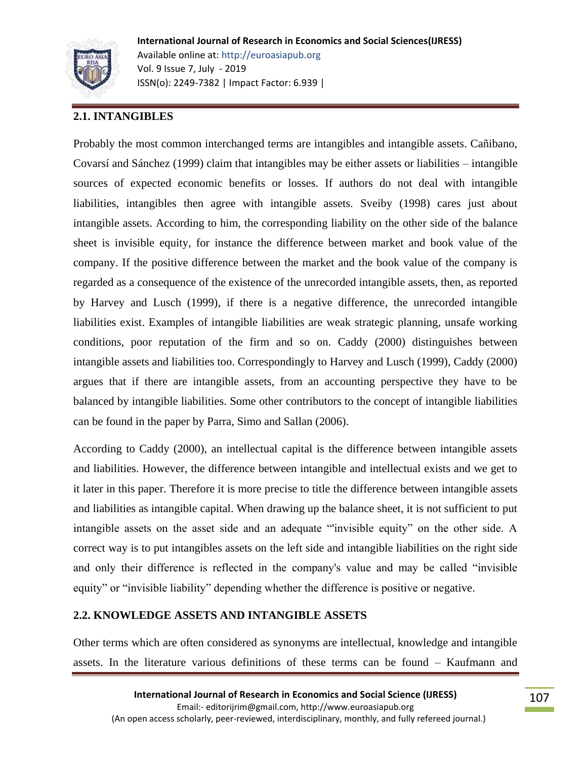

**International Journal of Research in Economics and Social Sciences(IJRESS)** Available online at: http://euroasiapub.org Vol. 9 Issue 7, July - 2019 ISSN(o): 2249-7382 | Impact Factor: 6.939 |

# **2.1. INTANGIBLES**

Probably the most common interchanged terms are intangibles and intangible assets. Cañibano, Covarsí and Sánchez (1999) claim that intangibles may be either assets or liabilities – intangible sources of expected economic benefits or losses. If authors do not deal with intangible liabilities, intangibles then agree with intangible assets. Sveiby (1998) cares just about intangible assets. According to him, the corresponding liability on the other side of the balance sheet is invisible equity, for instance the difference between market and book value of the company. If the positive difference between the market and the book value of the company is regarded as a consequence of the existence of the unrecorded intangible assets, then, as reported by Harvey and Lusch (1999), if there is a negative difference, the unrecorded intangible liabilities exist. Examples of intangible liabilities are weak strategic planning, unsafe working conditions, poor reputation of the firm and so on. Caddy (2000) distinguishes between intangible assets and liabilities too. Correspondingly to Harvey and Lusch (1999), Caddy (2000) argues that if there are intangible assets, from an accounting perspective they have to be balanced by intangible liabilities. Some other contributors to the concept of intangible liabilities can be found in the paper by Parra, Simo and Sallan (2006).

According to Caddy (2000), an intellectual capital is the difference between intangible assets and liabilities. However, the difference between intangible and intellectual exists and we get to it later in this paper. Therefore it is more precise to title the difference between intangible assets and liabilities as intangible capital. When drawing up the balance sheet, it is not sufficient to put intangible assets on the asset side and an adequate "'invisible equity" on the other side. A correct way is to put intangibles assets on the left side and intangible liabilities on the right side and only their difference is reflected in the company's value and may be called "invisible equity" or "invisible liability" depending whether the difference is positive or negative.

## **2.2. KNOWLEDGE ASSETS AND INTANGIBLE ASSETS**

Other terms which are often considered as synonyms are intellectual, knowledge and intangible assets. In the literature various definitions of these terms can be found – Kaufmann and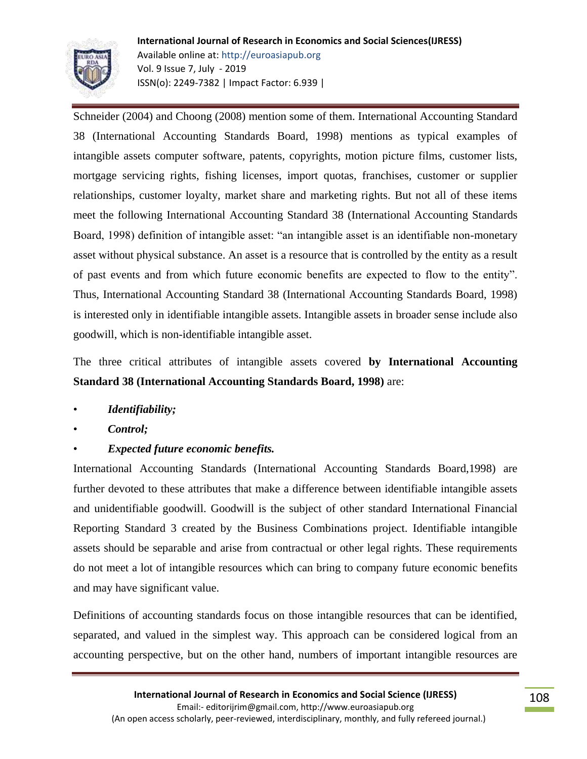

**International Journal of Research in Economics and Social Sciences(IJRESS)** Available online at: http://euroasiapub.org Vol. 9 Issue 7, July - 2019 ISSN(o): 2249-7382 | Impact Factor: 6.939 |

Schneider (2004) and Choong (2008) mention some of them. International Accounting Standard 38 (International Accounting Standards Board, 1998) mentions as typical examples of intangible assets computer software, patents, copyrights, motion picture films, customer lists, mortgage servicing rights, fishing licenses, import quotas, franchises, customer or supplier relationships, customer loyalty, market share and marketing rights. But not all of these items meet the following International Accounting Standard 38 (International Accounting Standards Board, 1998) definition of intangible asset: "an intangible asset is an identifiable non-monetary asset without physical substance. An asset is a resource that is controlled by the entity as a result of past events and from which future economic benefits are expected to flow to the entity". Thus, International Accounting Standard 38 (International Accounting Standards Board, 1998) is interested only in identifiable intangible assets. Intangible assets in broader sense include also goodwill, which is non-identifiable intangible asset.

The three critical attributes of intangible assets covered **by International Accounting Standard 38 (International Accounting Standards Board, 1998)** are:

- *Identifiability;*
- *Control;*
- *Expected future economic benefits.*

International Accounting Standards (International Accounting Standards Board,1998) are further devoted to these attributes that make a difference between identifiable intangible assets and unidentifiable goodwill. Goodwill is the subject of other standard International Financial Reporting Standard 3 created by the Business Combinations project. Identifiable intangible assets should be separable and arise from contractual or other legal rights. These requirements do not meet a lot of intangible resources which can bring to company future economic benefits and may have significant value.

Definitions of accounting standards focus on those intangible resources that can be identified, separated, and valued in the simplest way. This approach can be considered logical from an accounting perspective, but on the other hand, numbers of important intangible resources are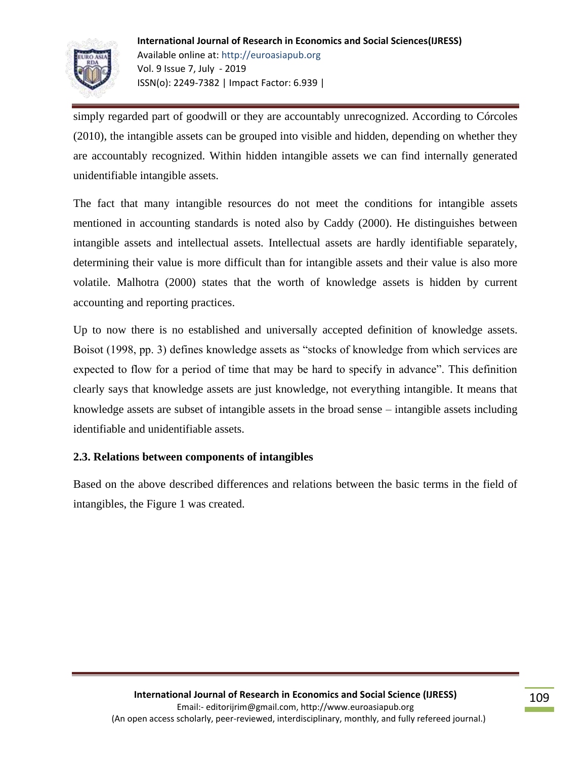

simply regarded part of goodwill or they are accountably unrecognized. According to Córcoles (2010), the intangible assets can be grouped into visible and hidden, depending on whether they are accountably recognized. Within hidden intangible assets we can find internally generated unidentifiable intangible assets.

The fact that many intangible resources do not meet the conditions for intangible assets mentioned in accounting standards is noted also by Caddy (2000). He distinguishes between intangible assets and intellectual assets. Intellectual assets are hardly identifiable separately, determining their value is more difficult than for intangible assets and their value is also more volatile. Malhotra (2000) states that the worth of knowledge assets is hidden by current accounting and reporting practices.

Up to now there is no established and universally accepted definition of knowledge assets. Boisot (1998, pp. 3) defines knowledge assets as "stocks of knowledge from which services are expected to flow for a period of time that may be hard to specify in advance". This definition clearly says that knowledge assets are just knowledge, not everything intangible. It means that knowledge assets are subset of intangible assets in the broad sense – intangible assets including identifiable and unidentifiable assets.

## **2.3. Relations between components of intangibles**

Based on the above described differences and relations between the basic terms in the field of intangibles, the Figure 1 was created.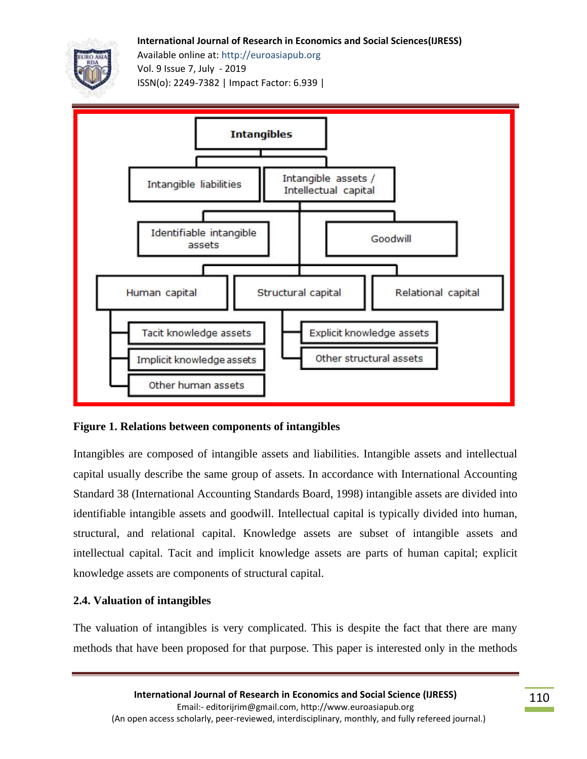# **International Journal of Research in Economics and Social Sciences(IJRESS)** Available online at: http://euroasiapub.org Vol. 9 Issue 7, July - 2019 ISSN(o): 2249-7382 | Impact Factor: 6.939 | **Intangibles** Intangible assets / Intangible liabilities Intellectual capital Identifiable intangible Goodwill assets Structural capital Relational capital Human capital Tacit knowledge assets Explicit knowledge assets Other structural assets Implicit knowledge assets

## **Figure 1. Relations between components of intangibles**

Other human assets

Intangibles are composed of intangible assets and liabilities. Intangible assets and intellectual capital usually describe the same group of assets. In accordance with International Accounting Standard 38 (International Accounting Standards Board, 1998) intangible assets are divided into identifiable intangible assets and goodwill. Intellectual capital is typically divided into human, structural, and relational capital. Knowledge assets are subset of intangible assets and intellectual capital. Tacit and implicit knowledge assets are parts of human capital; explicit knowledge assets are components of structural capital.

#### **2.4. Valuation of intangibles**

The valuation of intangibles is very complicated. This is despite the fact that there are many methods that have been proposed for that purpose. This paper is interested only in the methods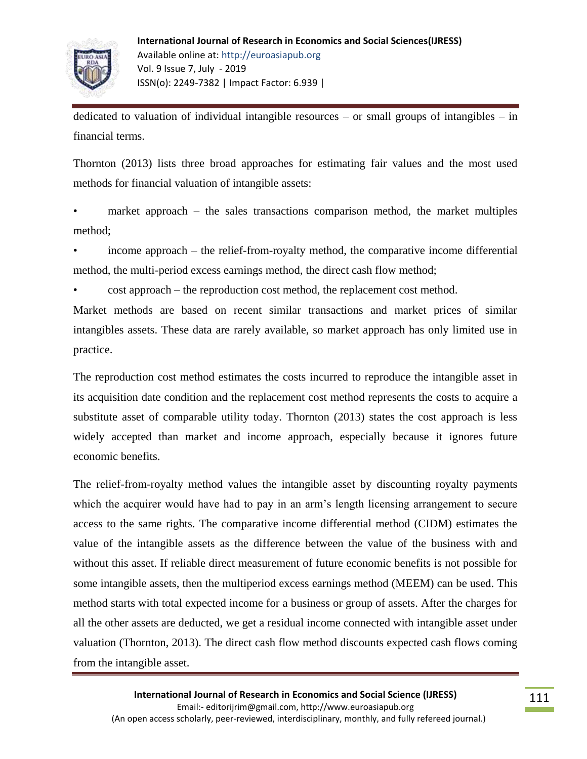

dedicated to valuation of individual intangible resources – or small groups of intangibles – in financial terms.

Thornton (2013) lists three broad approaches for estimating fair values and the most used methods for financial valuation of intangible assets:

market approach – the sales transactions comparison method, the market multiples method;

• income approach – the relief-from-royalty method, the comparative income differential method, the multi-period excess earnings method, the direct cash flow method;

• cost approach – the reproduction cost method, the replacement cost method.

Market methods are based on recent similar transactions and market prices of similar intangibles assets. These data are rarely available, so market approach has only limited use in practice.

The reproduction cost method estimates the costs incurred to reproduce the intangible asset in its acquisition date condition and the replacement cost method represents the costs to acquire a substitute asset of comparable utility today. Thornton (2013) states the cost approach is less widely accepted than market and income approach, especially because it ignores future economic benefits.

The relief-from-royalty method values the intangible asset by discounting royalty payments which the acquirer would have had to pay in an arm's length licensing arrangement to secure access to the same rights. The comparative income differential method (CIDM) estimates the value of the intangible assets as the difference between the value of the business with and without this asset. If reliable direct measurement of future economic benefits is not possible for some intangible assets, then the multiperiod excess earnings method (MEEM) can be used. This method starts with total expected income for a business or group of assets. After the charges for all the other assets are deducted, we get a residual income connected with intangible asset under valuation (Thornton, 2013). The direct cash flow method discounts expected cash flows coming from the intangible asset.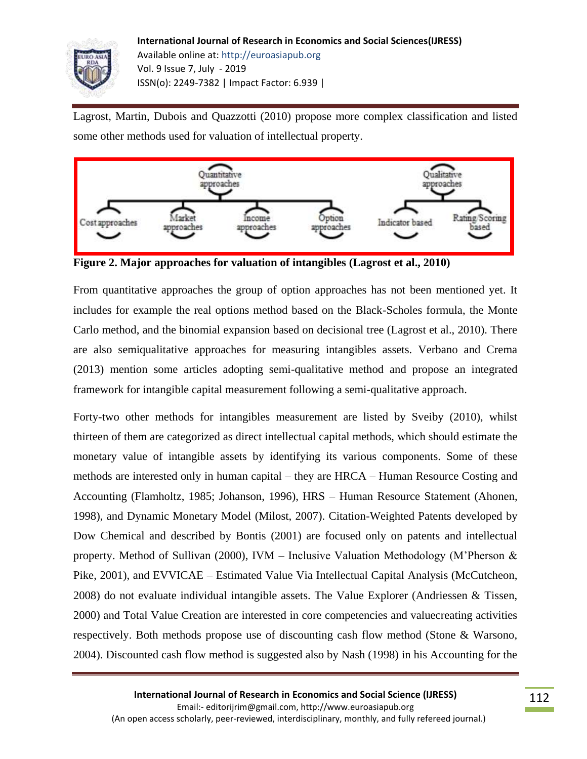

Lagrost, Martin, Dubois and Quazzotti (2010) propose more complex classification and listed some other methods used for valuation of intellectual property.



**Figure 2. Major approaches for valuation of intangibles (Lagrost et al., 2010)**

From quantitative approaches the group of option approaches has not been mentioned yet. It includes for example the real options method based on the Black-Scholes formula, the Monte Carlo method, and the binomial expansion based on decisional tree (Lagrost et al., 2010). There are also semiqualitative approaches for measuring intangibles assets. Verbano and Crema (2013) mention some articles adopting semi-qualitative method and propose an integrated framework for intangible capital measurement following a semi-qualitative approach.

Forty-two other methods for intangibles measurement are listed by Sveiby (2010), whilst thirteen of them are categorized as direct intellectual capital methods, which should estimate the monetary value of intangible assets by identifying its various components. Some of these methods are interested only in human capital – they are HRCA – Human Resource Costing and Accounting (Flamholtz, 1985; Johanson, 1996), HRS – Human Resource Statement (Ahonen, 1998), and Dynamic Monetary Model (Milost, 2007). Citation-Weighted Patents developed by Dow Chemical and described by Bontis (2001) are focused only on patents and intellectual property. Method of Sullivan (2000), IVM – Inclusive Valuation Methodology (M'Pherson & Pike, 2001), and EVVICAE – Estimated Value Via Intellectual Capital Analysis (McCutcheon, 2008) do not evaluate individual intangible assets. The Value Explorer (Andriessen & Tissen, 2000) and Total Value Creation are interested in core competencies and valuecreating activities respectively. Both methods propose use of discounting cash flow method (Stone & Warsono, 2004). Discounted cash flow method is suggested also by Nash (1998) in his Accounting for the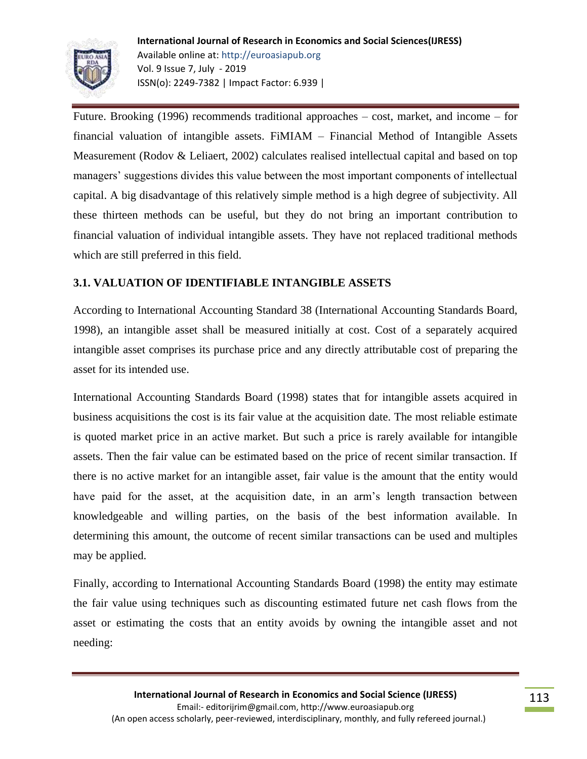

**International Journal of Research in Economics and Social Sciences(IJRESS)** Available online at: http://euroasiapub.org Vol. 9 Issue 7, July - 2019 ISSN(o): 2249-7382 | Impact Factor: 6.939 |

Future. Brooking (1996) recommends traditional approaches – cost, market, and income – for financial valuation of intangible assets. FiMIAM – Financial Method of Intangible Assets Measurement (Rodov & Leliaert, 2002) calculates realised intellectual capital and based on top managers' suggestions divides this value between the most important components of intellectual capital. A big disadvantage of this relatively simple method is a high degree of subjectivity. All these thirteen methods can be useful, but they do not bring an important contribution to financial valuation of individual intangible assets. They have not replaced traditional methods which are still preferred in this field.

# **3.1. VALUATION OF IDENTIFIABLE INTANGIBLE ASSETS**

According to International Accounting Standard 38 (International Accounting Standards Board, 1998), an intangible asset shall be measured initially at cost. Cost of a separately acquired intangible asset comprises its purchase price and any directly attributable cost of preparing the asset for its intended use.

International Accounting Standards Board (1998) states that for intangible assets acquired in business acquisitions the cost is its fair value at the acquisition date. The most reliable estimate is quoted market price in an active market. But such a price is rarely available for intangible assets. Then the fair value can be estimated based on the price of recent similar transaction. If there is no active market for an intangible asset, fair value is the amount that the entity would have paid for the asset, at the acquisition date, in an arm's length transaction between knowledgeable and willing parties, on the basis of the best information available. In determining this amount, the outcome of recent similar transactions can be used and multiples may be applied.

Finally, according to International Accounting Standards Board (1998) the entity may estimate the fair value using techniques such as discounting estimated future net cash flows from the asset or estimating the costs that an entity avoids by owning the intangible asset and not needing: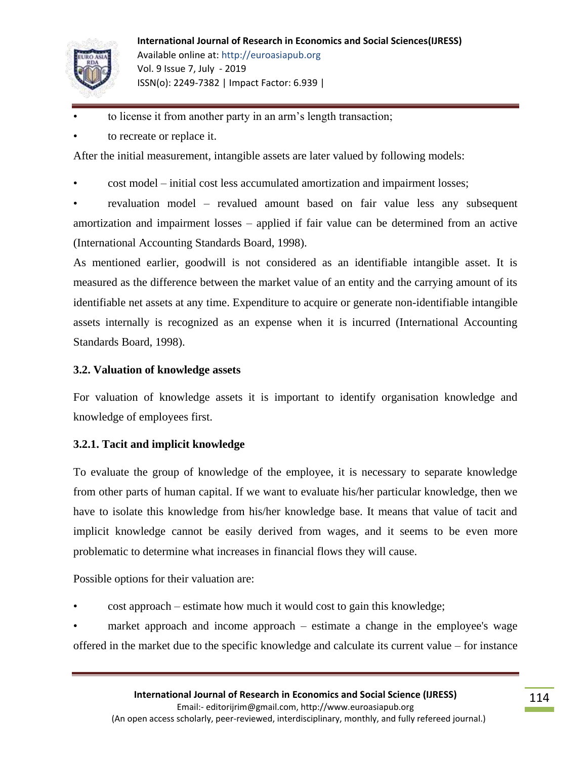

- to license it from another party in an arm's length transaction;
- to recreate or replace it.

After the initial measurement, intangible assets are later valued by following models:

• cost model – initial cost less accumulated amortization and impairment losses;

• revaluation model – revalued amount based on fair value less any subsequent amortization and impairment losses – applied if fair value can be determined from an active (International Accounting Standards Board, 1998).

As mentioned earlier, goodwill is not considered as an identifiable intangible asset. It is measured as the difference between the market value of an entity and the carrying amount of its identifiable net assets at any time. Expenditure to acquire or generate non-identifiable intangible assets internally is recognized as an expense when it is incurred (International Accounting Standards Board, 1998).

#### **3.2. Valuation of knowledge assets**

For valuation of knowledge assets it is important to identify organisation knowledge and knowledge of employees first.

#### **3.2.1. Tacit and implicit knowledge**

To evaluate the group of knowledge of the employee, it is necessary to separate knowledge from other parts of human capital. If we want to evaluate his/her particular knowledge, then we have to isolate this knowledge from his/her knowledge base. It means that value of tacit and implicit knowledge cannot be easily derived from wages, and it seems to be even more problematic to determine what increases in financial flows they will cause.

Possible options for their valuation are:

- cost approach estimate how much it would cost to gain this knowledge;
- market approach and income approach estimate a change in the employee's wage offered in the market due to the specific knowledge and calculate its current value – for instance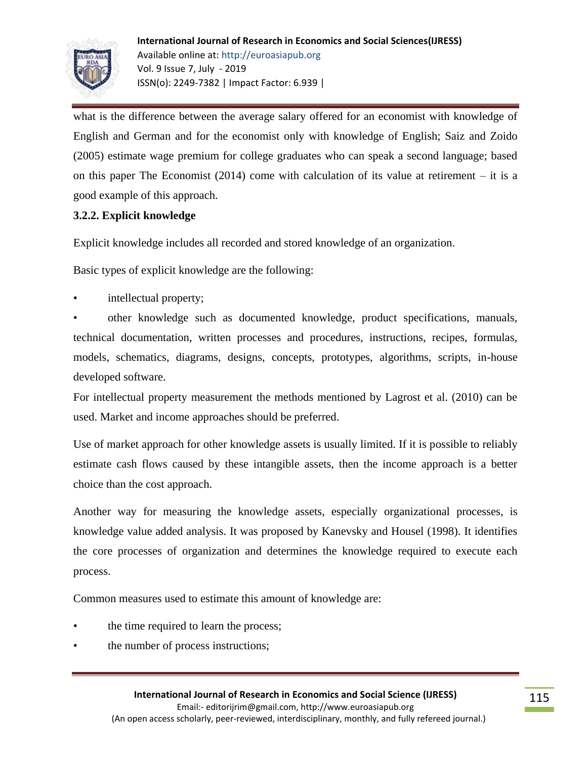

what is the difference between the average salary offered for an economist with knowledge of English and German and for the economist only with knowledge of English; Saiz and Zoido (2005) estimate wage premium for college graduates who can speak a second language; based on this paper The Economist (2014) come with calculation of its value at retirement – it is a good example of this approach.

# **3.2.2. Explicit knowledge**

Explicit knowledge includes all recorded and stored knowledge of an organization.

Basic types of explicit knowledge are the following:

intellectual property;

• other knowledge such as documented knowledge, product specifications, manuals, technical documentation, written processes and procedures, instructions, recipes, formulas, models, schematics, diagrams, designs, concepts, prototypes, algorithms, scripts, in-house developed software.

For intellectual property measurement the methods mentioned by Lagrost et al. (2010) can be used. Market and income approaches should be preferred.

Use of market approach for other knowledge assets is usually limited. If it is possible to reliably estimate cash flows caused by these intangible assets, then the income approach is a better choice than the cost approach.

Another way for measuring the knowledge assets, especially organizational processes, is knowledge value added analysis. It was proposed by Kanevsky and Housel (1998). It identifies the core processes of organization and determines the knowledge required to execute each process.

Common measures used to estimate this amount of knowledge are:

- the time required to learn the process;
- the number of process instructions;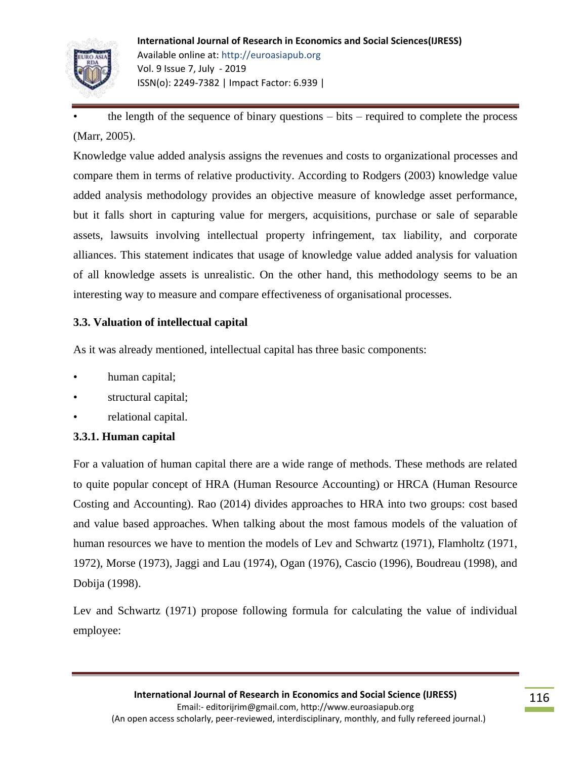

the length of the sequence of binary questions  $-$  bits  $-$  required to complete the process (Marr, 2005).

Knowledge value added analysis assigns the revenues and costs to organizational processes and compare them in terms of relative productivity. According to Rodgers (2003) knowledge value added analysis methodology provides an objective measure of knowledge asset performance, but it falls short in capturing value for mergers, acquisitions, purchase or sale of separable assets, lawsuits involving intellectual property infringement, tax liability, and corporate alliances. This statement indicates that usage of knowledge value added analysis for valuation of all knowledge assets is unrealistic. On the other hand, this methodology seems to be an interesting way to measure and compare effectiveness of organisational processes.

# **3.3. Valuation of intellectual capital**

As it was already mentioned, intellectual capital has three basic components:

- human capital;
- structural capital;
- relational capital.

## **3.3.1. Human capital**

For a valuation of human capital there are a wide range of methods. These methods are related to quite popular concept of HRA (Human Resource Accounting) or HRCA (Human Resource Costing and Accounting). Rao (2014) divides approaches to HRA into two groups: cost based and value based approaches. When talking about the most famous models of the valuation of human resources we have to mention the models of Lev and Schwartz (1971), Flamholtz (1971, 1972), Morse (1973), Jaggi and Lau (1974), Ogan (1976), Cascio (1996), Boudreau (1998), and Dobija (1998).

Lev and Schwartz (1971) propose following formula for calculating the value of individual employee: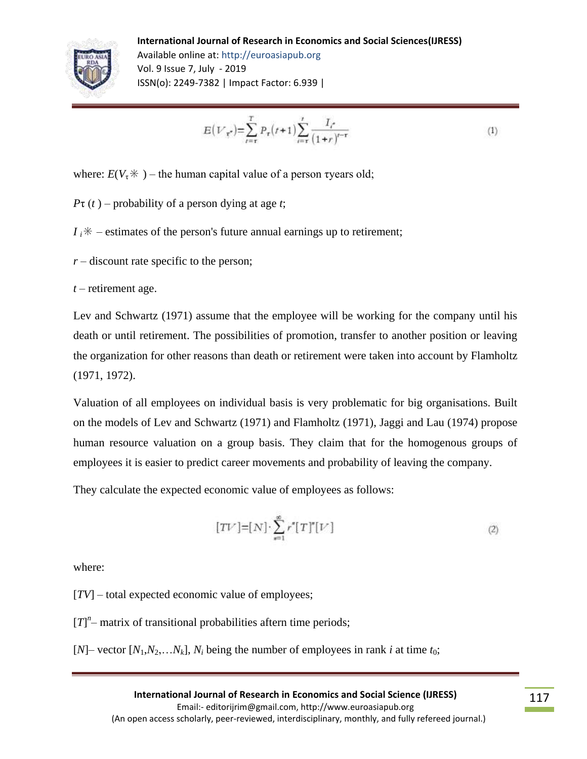

**International Journal of Research in Economics and Social Sciences(IJRESS)** Available online at: http://euroasiapub.org Vol. 9 Issue 7, July - 2019 ISSN(o): 2249-7382 | Impact Factor: 6.939 |

> $E(V_{\tau}) = \sum_{t=\tau}^{T} P_{\tau}(t+1) \sum_{t=\tau}^{t} \frac{I_{t^{*}}}{(1+r)^{t-\tau}}$  $(1)$

where:  $E(V_{\tau}*)$  – the human capital value of a person *tyears* old;

*P* $\tau$  (*t*) – probability of a person dying at age *t*;

 $I_i$ <sup> $*$ </sup> – estimates of the person's future annual earnings up to retirement;

*r* – discount rate specific to the person;

*t* – retirement age.

Lev and Schwartz (1971) assume that the employee will be working for the company until his death or until retirement. The possibilities of promotion, transfer to another position or leaving the organization for other reasons than death or retirement were taken into account by Flamholtz (1971, 1972).

Valuation of all employees on individual basis is very problematic for big organisations. Built on the models of Lev and Schwartz (1971) and Flamholtz (1971), Jaggi and Lau (1974) propose human resource valuation on a group basis. They claim that for the homogenous groups of employees it is easier to predict career movements and probability of leaving the company.

They calculate the expected economic value of employees as follows:

$$
[TV] = [N] \cdot \sum_{n=1}^{\infty} r^n [T]^n [V]
$$
 (2)

where:

[*TV*] – total expected economic value of employees;

 $[T]$ <sup>n</sup> – matrix of transitional probabilities aftern time periods;

 $[N]$ – vector  $[N_1, N_2, \ldots, N_k]$ ,  $N_i$  being the number of employees in rank *i* at time  $t_0$ ;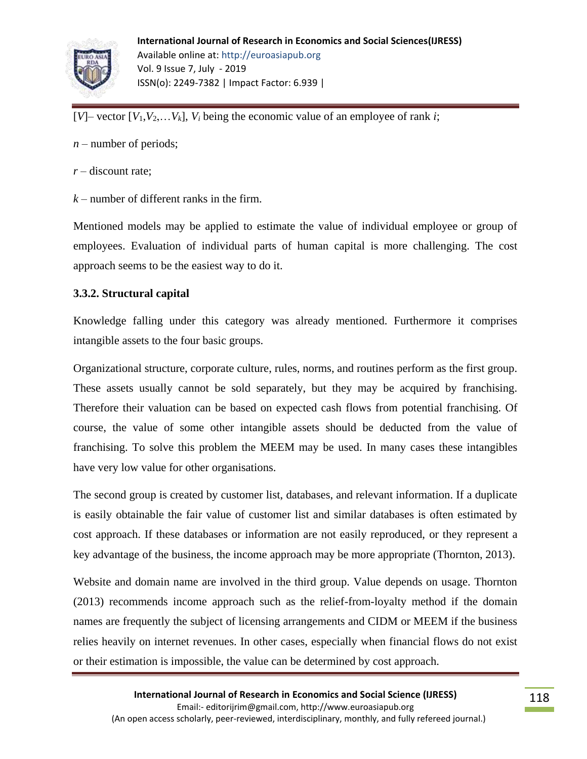

 $[V]$ – vector  $[V_1, V_2, \ldots, V_k]$ ,  $V_i$  being the economic value of an employee of rank *i*;

- *n*  number of periods;
- *r*  discount rate;
- *k*  number of different ranks in the firm.

Mentioned models may be applied to estimate the value of individual employee or group of employees. Evaluation of individual parts of human capital is more challenging. The cost approach seems to be the easiest way to do it.

# **3.3.2. Structural capital**

Knowledge falling under this category was already mentioned. Furthermore it comprises intangible assets to the four basic groups.

Organizational structure, corporate culture, rules, norms, and routines perform as the first group. These assets usually cannot be sold separately, but they may be acquired by franchising. Therefore their valuation can be based on expected cash flows from potential franchising. Of course, the value of some other intangible assets should be deducted from the value of franchising. To solve this problem the MEEM may be used. In many cases these intangibles have very low value for other organisations.

The second group is created by customer list, databases, and relevant information. If a duplicate is easily obtainable the fair value of customer list and similar databases is often estimated by cost approach. If these databases or information are not easily reproduced, or they represent a key advantage of the business, the income approach may be more appropriate (Thornton, 2013).

Website and domain name are involved in the third group. Value depends on usage. Thornton (2013) recommends income approach such as the relief-from-loyalty method if the domain names are frequently the subject of licensing arrangements and CIDM or MEEM if the business relies heavily on internet revenues. In other cases, especially when financial flows do not exist or their estimation is impossible, the value can be determined by cost approach.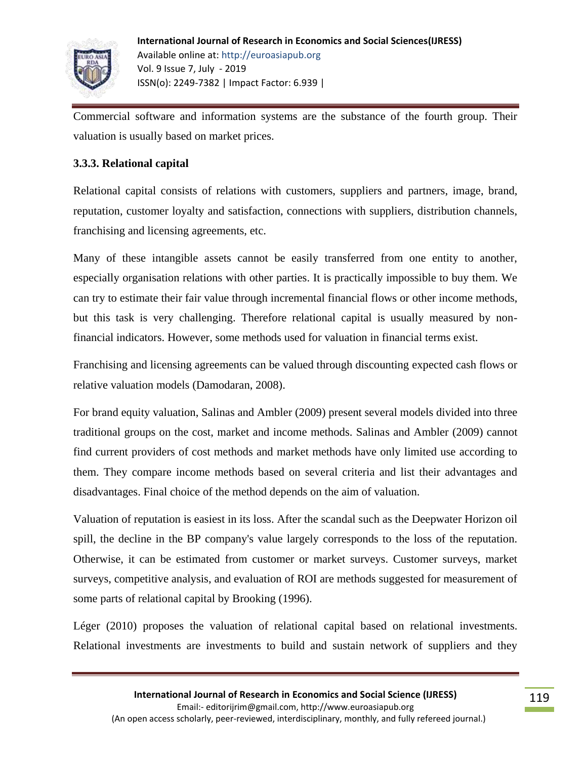

Commercial software and information systems are the substance of the fourth group. Their valuation is usually based on market prices.

# **3.3.3. Relational capital**

Relational capital consists of relations with customers, suppliers and partners, image, brand, reputation, customer loyalty and satisfaction, connections with suppliers, distribution channels, franchising and licensing agreements, etc.

Many of these intangible assets cannot be easily transferred from one entity to another, especially organisation relations with other parties. It is practically impossible to buy them. We can try to estimate their fair value through incremental financial flows or other income methods, but this task is very challenging. Therefore relational capital is usually measured by nonfinancial indicators. However, some methods used for valuation in financial terms exist.

Franchising and licensing agreements can be valued through discounting expected cash flows or relative valuation models (Damodaran, 2008).

For brand equity valuation, Salinas and Ambler (2009) present several models divided into three traditional groups on the cost, market and income methods. Salinas and Ambler (2009) cannot find current providers of cost methods and market methods have only limited use according to them. They compare income methods based on several criteria and list their advantages and disadvantages. Final choice of the method depends on the aim of valuation.

Valuation of reputation is easiest in its loss. After the scandal such as the Deepwater Horizon oil spill, the decline in the BP company's value largely corresponds to the loss of the reputation. Otherwise, it can be estimated from customer or market surveys. Customer surveys, market surveys, competitive analysis, and evaluation of ROI are methods suggested for measurement of some parts of relational capital by Brooking (1996).

Léger (2010) proposes the valuation of relational capital based on relational investments. Relational investments are investments to build and sustain network of suppliers and they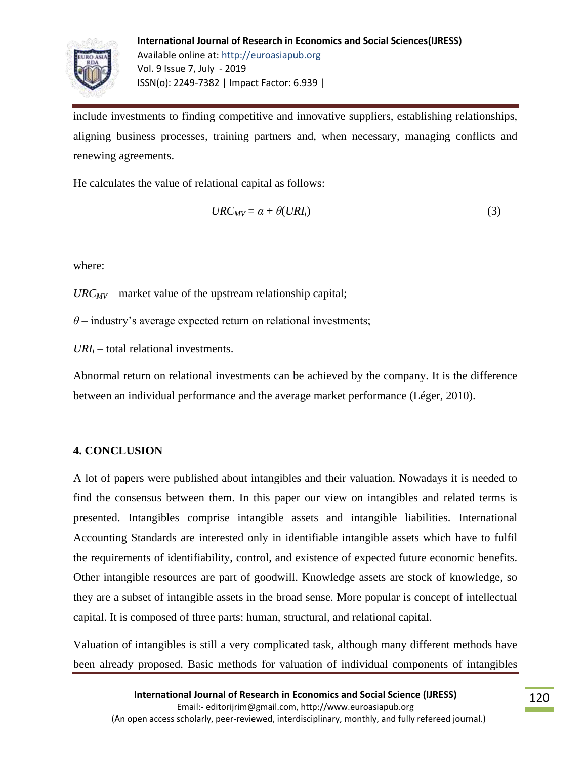

include investments to finding competitive and innovative suppliers, establishing relationships, aligning business processes, training partners and, when necessary, managing conflicts and renewing agreements.

He calculates the value of relational capital as follows:

$$
URC_{MV} = \alpha + \theta(URI_t) \tag{3}
$$

where:

 $URC_{MV}$  – market value of the upstream relationship capital;

*θ* – industry's average expected return on relational investments;

 $URI<sub>t</sub>$  – total relational investments.

Abnormal return on relational investments can be achieved by the company. It is the difference between an individual performance and the average market performance (Léger, 2010).

## **4. CONCLUSION**

A lot of papers were published about intangibles and their valuation. Nowadays it is needed to find the consensus between them. In this paper our view on intangibles and related terms is presented. Intangibles comprise intangible assets and intangible liabilities. International Accounting Standards are interested only in identifiable intangible assets which have to fulfil the requirements of identifiability, control, and existence of expected future economic benefits. Other intangible resources are part of goodwill. Knowledge assets are stock of knowledge, so they are a subset of intangible assets in the broad sense. More popular is concept of intellectual capital. It is composed of three parts: human, structural, and relational capital.

Valuation of intangibles is still a very complicated task, although many different methods have been already proposed. Basic methods for valuation of individual components of intangibles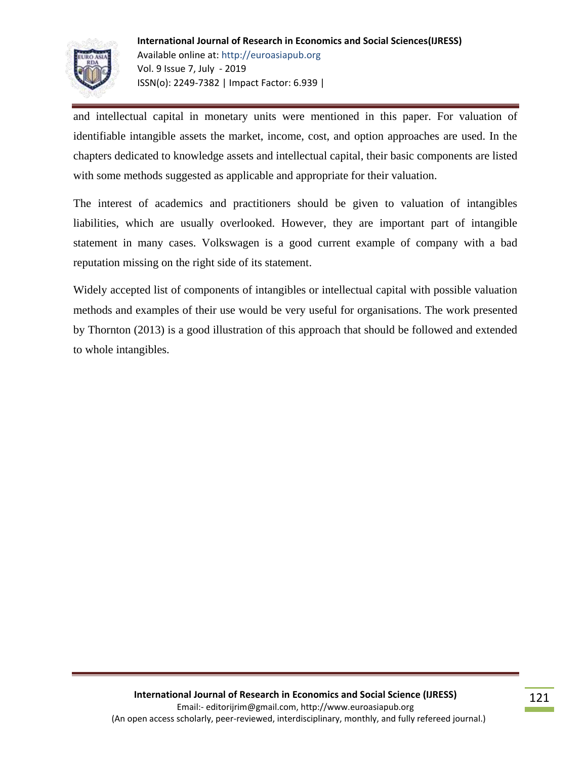

and intellectual capital in monetary units were mentioned in this paper. For valuation of identifiable intangible assets the market, income, cost, and option approaches are used. In the chapters dedicated to knowledge assets and intellectual capital, their basic components are listed with some methods suggested as applicable and appropriate for their valuation.

The interest of academics and practitioners should be given to valuation of intangibles liabilities, which are usually overlooked. However, they are important part of intangible statement in many cases. Volkswagen is a good current example of company with a bad reputation missing on the right side of its statement.

Widely accepted list of components of intangibles or intellectual capital with possible valuation methods and examples of their use would be very useful for organisations. The work presented by Thornton (2013) is a good illustration of this approach that should be followed and extended to whole intangibles.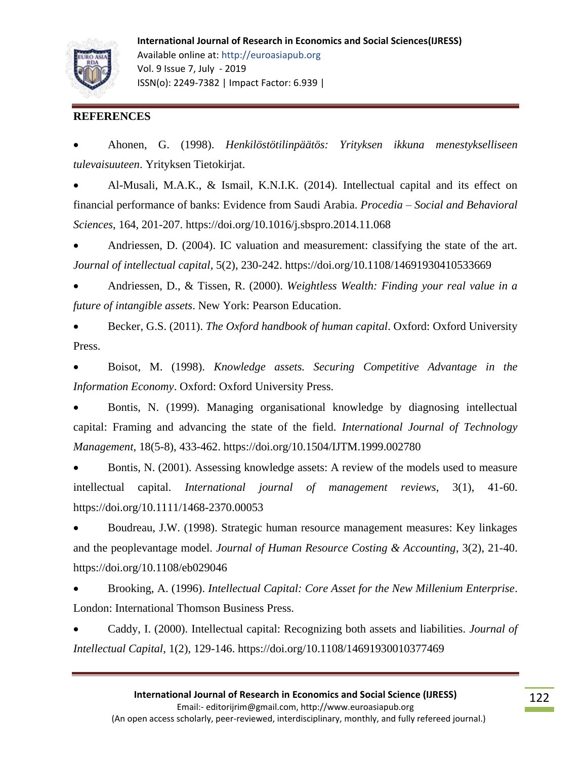

## **REFERENCES**

 Ahonen, G. (1998). *Henkilöstötilinpäätös: Yrityksen ikkuna menestykselliseen tulevaisuuteen*. Yrityksen Tietokirjat.

 Al-Musali, M.A.K., & Ismail, K.N.I.K. (2014). Intellectual capital and its effect on financial performance of banks: Evidence from Saudi Arabia. *Procedia – Social and Behavioral Sciences*, 164, 201-207. https://doi.org/10.1016/j.sbspro.2014.11.068

 Andriessen, D. (2004). IC valuation and measurement: classifying the state of the art. *Journal of intellectual capital*, 5(2), 230-242. https://doi.org/10.1108/14691930410533669

 Andriessen, D., & Tissen, R. (2000). *Weightless Wealth: Finding your real value in a future of intangible assets*. New York: Pearson Education.

 Becker, G.S. (2011). *The Oxford handbook of human capital*. Oxford: Oxford University Press.

 Boisot, M. (1998). *Knowledge assets. Securing Competitive Advantage in the Information Economy*. Oxford: Oxford University Press.

 Bontis, N. (1999). Managing organisational knowledge by diagnosing intellectual capital: Framing and advancing the state of the field. *International Journal of Technology Management*, 18(5-8), 433-462. https://doi.org/10.1504/IJTM.1999.002780

 Bontis, N. (2001). Assessing knowledge assets: A review of the models used to measure intellectual capital. *International journal of management reviews*, 3(1), 41-60. https://doi.org/10.1111/1468-2370.00053

 Boudreau, J.W. (1998). Strategic human resource management measures: Key linkages and the peoplevantage model. *Journal of Human Resource Costing & Accounting*, 3(2), 21-40. https://doi.org/10.1108/eb029046

 Brooking, A. (1996). *Intellectual Capital: Core Asset for the New Millenium Enterprise*. London: International Thomson Business Press.

 Caddy, I. (2000). Intellectual capital: Recognizing both assets and liabilities. *Journal of Intellectual Capital*, 1(2), 129-146. https://doi.org/10.1108/14691930010377469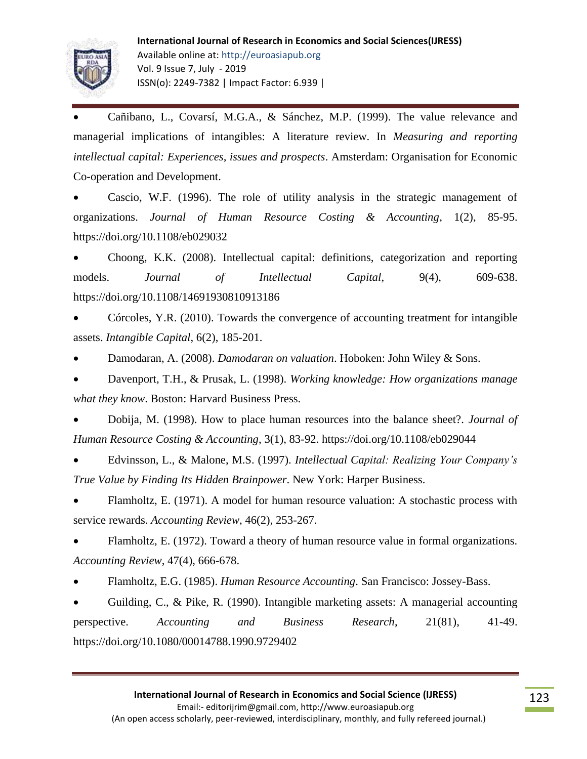

 Cañibano, L., Covarsí, M.G.A., & Sánchez, M.P. (1999). The value relevance and managerial implications of intangibles: A literature review. In *Measuring and reporting intellectual capital: Experiences, issues and prospects*. Amsterdam: Organisation for Economic Co-operation and Development.

 Cascio, W.F. (1996). The role of utility analysis in the strategic management of organizations. *Journal of Human Resource Costing & Accounting*, 1(2), 85-95. https://doi.org/10.1108/eb029032

 Choong, K.K. (2008). Intellectual capital: definitions, categorization and reporting models. *Journal of Intellectual Capital*, 9(4), 609-638. https://doi.org/10.1108/14691930810913186

 Córcoles, Y.R. (2010). Towards the convergence of accounting treatment for intangible assets. *Intangible Capital*, 6(2), 185-201.

Damodaran, A. (2008). *Damodaran on valuation*. Hoboken: John Wiley & Sons.

 Davenport, T.H., & Prusak, L. (1998). *Working knowledge: How organizations manage what they know*. Boston: Harvard Business Press.

 Dobija, M. (1998). How to place human resources into the balance sheet?. *Journal of Human Resource Costing & Accounting*, 3(1), 83-92. https://doi.org/10.1108/eb029044

 Edvinsson, L., & Malone, M.S. (1997). *Intellectual Capital: Realizing Your Company's True Value by Finding Its Hidden Brainpower*. New York: Harper Business.

 Flamholtz, E. (1971). A model for human resource valuation: A stochastic process with service rewards. *Accounting Review*, 46(2), 253-267.

 Flamholtz, E. (1972). Toward a theory of human resource value in formal organizations. *Accounting Review*, 47(4), 666-678.

Flamholtz, E.G. (1985). *Human Resource Accounting*. San Francisco: Jossey-Bass.

 Guilding, C., & Pike, R. (1990). Intangible marketing assets: A managerial accounting perspective. *Accounting and Business Research*, 21(81), 41-49. https://doi.org/10.1080/00014788.1990.9729402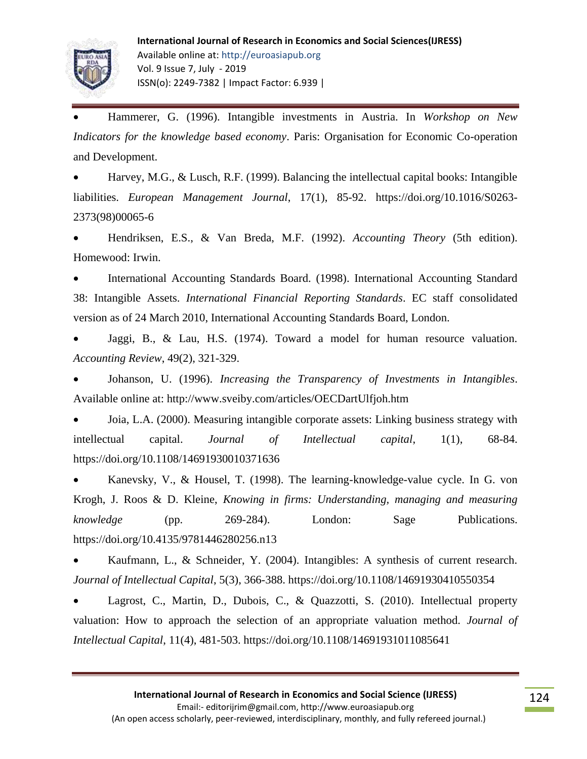

 Hammerer, G. (1996). Intangible investments in Austria. In *Workshop on New Indicators for the knowledge based economy*. Paris: Organisation for Economic Co-operation and Development.

 Harvey, M.G., & Lusch, R.F. (1999). Balancing the intellectual capital books: Intangible liabilities. *European Management Journal*, 17(1), 85-92. https://doi.org/10.1016/S0263- 2373(98)00065-6

 Hendriksen, E.S., & Van Breda, M.F. (1992). *Accounting Theory* (5th edition). Homewood: Irwin.

 International Accounting Standards Board. (1998). International Accounting Standard 38: Intangible Assets. *International Financial Reporting Standards*. EC staff consolidated version as of 24 March 2010, International Accounting Standards Board, London.

 Jaggi, B., & Lau, H.S. (1974). Toward a model for human resource valuation. *Accounting Review*, 49(2), 321-329.

 Johanson, U. (1996). *Increasing the Transparency of Investments in Intangibles*. Available online at: http://www.sveiby.com/articles/OECDartUlfjoh.htm

 Joia, L.A. (2000). Measuring intangible corporate assets: Linking business strategy with intellectual capital. *Journal of Intellectual capital*, 1(1), 68-84. https://doi.org/10.1108/14691930010371636

 Kanevsky, V., & Housel, T. (1998). The learning-knowledge-value cycle. In G. von Krogh, J. Roos & D. Kleine, *Knowing in firms: Understanding, managing and measuring knowledge* (pp. 269-284). London: Sage Publications. https://doi.org/10.4135/9781446280256.n13

 Kaufmann, L., & Schneider, Y. (2004). Intangibles: A synthesis of current research. *Journal of Intellectual Capital*, 5(3), 366-388. https://doi.org/10.1108/14691930410550354

 Lagrost, C., Martin, D., Dubois, C., & Quazzotti, S. (2010). Intellectual property valuation: How to approach the selection of an appropriate valuation method. *Journal of Intellectual Capital*, 11(4), 481-503. https://doi.org/10.1108/14691931011085641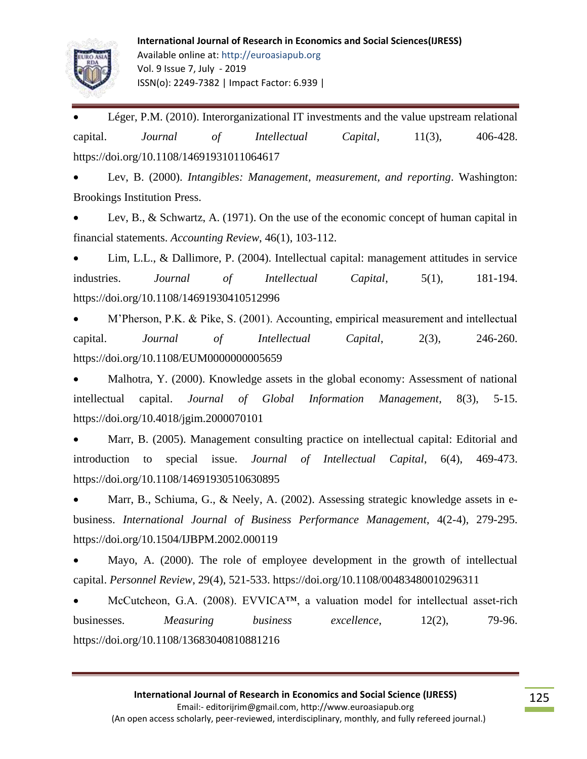

 Léger, P.M. (2010). Interorganizational IT investments and the value upstream relational capital. *Journal of Intellectual Capital*, 11(3), 406-428. https://doi.org/10.1108/14691931011064617

 Lev, B. (2000). *Intangibles: Management, measurement, and reporting*. Washington: Brookings Institution Press.

 Lev, B., & Schwartz, A. (1971). On the use of the economic concept of human capital in financial statements. *Accounting Review*, 46(1), 103-112.

 Lim, L.L., & Dallimore, P. (2004). Intellectual capital: management attitudes in service industries. *Journal of Intellectual Capital*, 5(1), 181-194. https://doi.org/10.1108/14691930410512996

 M'Pherson, P.K. & Pike, S. (2001). Accounting, empirical measurement and intellectual capital. *Journal of Intellectual Capital*, 2(3), 246-260. https://doi.org/10.1108/EUM0000000005659

 Malhotra, Y. (2000). Knowledge assets in the global economy: Assessment of national intellectual capital. *Journal of Global Information Management*, 8(3), 5-15. https://doi.org/10.4018/jgim.2000070101

 Marr, B. (2005). Management consulting practice on intellectual capital: Editorial and introduction to special issue. *Journal of Intellectual Capital*, 6(4), 469-473. https://doi.org/10.1108/14691930510630895

 Marr, B., Schiuma, G., & Neely, A. (2002). Assessing strategic knowledge assets in ebusiness. *International Journal of Business Performance Management*, 4(2-4), 279-295. https://doi.org/10.1504/IJBPM.2002.000119

 Mayo, A. (2000). The role of employee development in the growth of intellectual capital. *Personnel Review*, 29(4), 521-533. https://doi.org/10.1108/00483480010296311

 McCutcheon, G.A. (2008). EVVICA™, a valuation model for intellectual asset-rich businesses. *Measuring business excellence*, 12(2), 79-96. https://doi.org/10.1108/13683040810881216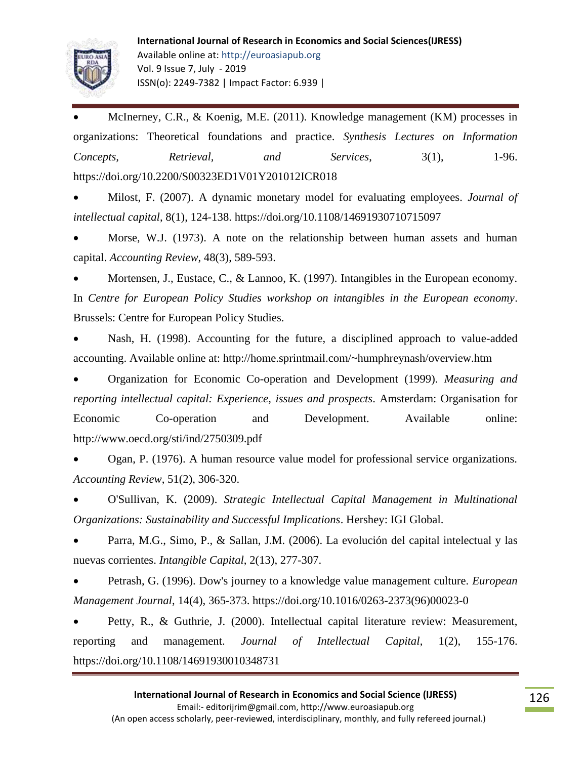

 McInerney, C.R., & Koenig, M.E. (2011). Knowledge management (KM) processes in organizations: Theoretical foundations and practice. *Synthesis Lectures on Information Concepts, Retrieval, and Services*, 3(1), 1-96. https://doi.org/10.2200/S00323ED1V01Y201012ICR018

 Milost, F. (2007). A dynamic monetary model for evaluating employees. *Journal of intellectual capital*, 8(1), 124-138. https://doi.org/10.1108/14691930710715097

 Morse, W.J. (1973). A note on the relationship between human assets and human capital. *Accounting Review*, 48(3), 589-593.

 Mortensen, J., Eustace, C., & Lannoo, K. (1997). Intangibles in the European economy. In *Centre for European Policy Studies workshop on intangibles in the European economy*. Brussels: Centre for European Policy Studies.

 Nash, H. (1998). Accounting for the future, a disciplined approach to value-added accounting. Available online at: http://home.sprintmail.com/~humphreynash/overview.htm

 Organization for Economic Co-operation and Development (1999). *Measuring and reporting intellectual capital: Experience, issues and prospects*. Amsterdam: Organisation for Economic Co-operation and Development. Available online: http://www.oecd.org/sti/ind/2750309.pdf

 Ogan, P. (1976). A human resource value model for professional service organizations. *Accounting Review*, 51(2), 306-320.

 O'Sullivan, K. (2009). *Strategic Intellectual Capital Management in Multinational Organizations: Sustainability and Successful Implications*. Hershey: IGI Global.

 Parra, M.G., Simo, P., & Sallan, J.M. (2006). La evolución del capital intelectual y las nuevas corrientes. *Intangible Capital*, 2(13), 277-307.

 Petrash, G. (1996). Dow's journey to a knowledge value management culture. *European Management Journal*, 14(4), 365-373. https://doi.org/10.1016/0263-2373(96)00023-0

 Petty, R., & Guthrie, J. (2000). Intellectual capital literature review: Measurement, reporting and management. *Journal of Intellectual Capital*, 1(2), 155-176. https://doi.org/10.1108/14691930010348731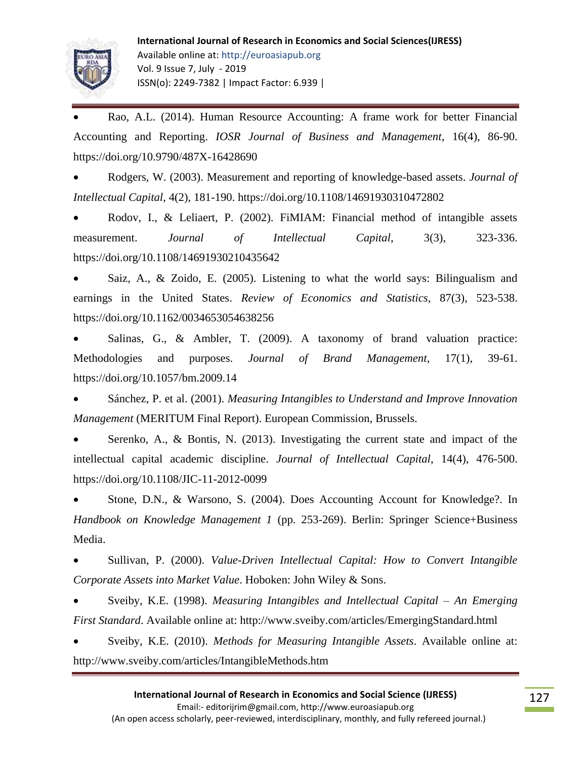

 Rao, A.L. (2014). Human Resource Accounting: A frame work for better Financial Accounting and Reporting. *IOSR Journal of Business and Management*, 16(4), 86-90. https://doi.org/10.9790/487X-16428690

 Rodgers, W. (2003). Measurement and reporting of knowledge-based assets. *Journal of Intellectual Capital*, 4(2), 181-190. https://doi.org/10.1108/14691930310472802

 Rodov, I., & Leliaert, P. (2002). FiMIAM: Financial method of intangible assets measurement. *Journal of Intellectual Capital*, 3(3), 323-336. https://doi.org/10.1108/14691930210435642

 Saiz, A., & Zoido, E. (2005). Listening to what the world says: Bilingualism and earnings in the United States. *Review of Economics and Statistics*, 87(3), 523-538. https://doi.org/10.1162/0034653054638256

 Salinas, G., & Ambler, T. (2009). A taxonomy of brand valuation practice: Methodologies and purposes. *Journal of Brand Management*, 17(1), 39-61. https://doi.org/10.1057/bm.2009.14

 Sánchez, P. et al. (2001). *Measuring Intangibles to Understand and Improve Innovation Management* (MERITUM Final Report). European Commission, Brussels.

 Serenko, A., & Bontis, N. (2013). Investigating the current state and impact of the intellectual capital academic discipline. *Journal of Intellectual Capital*, 14(4), 476-500. https://doi.org/10.1108/JIC-11-2012-0099

 Stone, D.N., & Warsono, S. (2004). Does Accounting Account for Knowledge?. In *Handbook on Knowledge Management 1* (pp. 253-269). Berlin: Springer Science+Business Media.

 Sullivan, P. (2000). *Value-Driven Intellectual Capital: How to Convert Intangible Corporate Assets into Market Value*. Hoboken: John Wiley & Sons.

 Sveiby, K.E. (1998). *Measuring Intangibles and Intellectual Capital – An Emerging First Standard*. Available online at: http://www.sveiby.com/articles/EmergingStandard.html

 Sveiby, K.E. (2010). *Methods for Measuring Intangible Assets*. Available online at: http://www.sveiby.com/articles/IntangibleMethods.htm